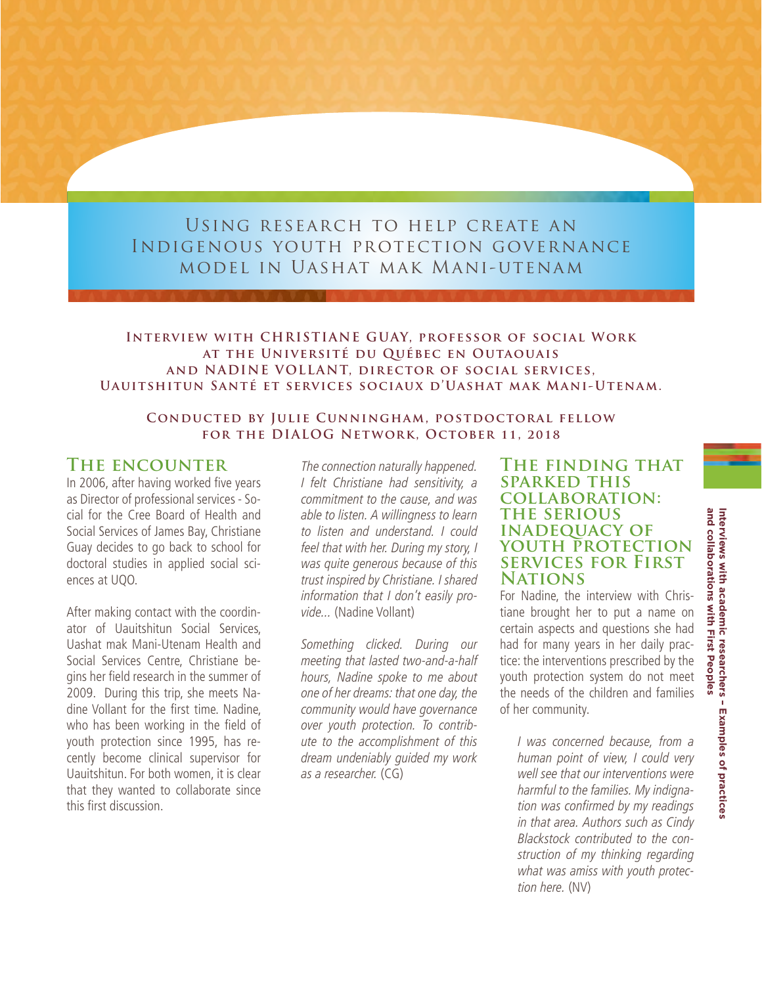# Using research to help create an Indigenous youth protection governance model in Uashat mak Mani-utenam

### **Interview with CHRISTIANE GUAY, professor of social Work at the Université du Québec en Outaouais and NADINE VOLLANT, director of social services, Uauitshitun Santé et services sociaux d'Uashat mak Mani-Utenam.**

### **Conducted by Julie Cunningham, postdoctoral fellow for the DIALOG Network, October 11, 2018**

## **The encounter**

In 2006, after having worked five years as Director of professional services - Social for the Cree Board of Health and Social Services of James Bay, Christiane Guay decides to go back to school for doctoral studies in applied social sciences at UQO.

After making contact with the coordinator of Uauitshitun Social Services, Uashat mak Mani-Utenam Health and Social Services Centre, Christiane begins her field research in the summer of 2009. During this trip, she meets Nadine Vollant for the first time. Nadine, who has been working in the field of youth protection since 1995, has recently become clinical supervisor for Uauitshitun. For both women, it is clear that they wanted to collaborate since this first discussion.

The connection naturally happened. I felt Christiane had sensitivity, a commitment to the cause, and was able to listen. A willingness to learn to listen and understand. I could feel that with her. During my story, I was quite generous because of this trust inspired by Christiane. I shared information that I don't easily provide... (Nadine Vollant)

Something clicked. During our meeting that lasted two-and-a-half hours, Nadine spoke to me about one of her dreams: that one day, the community would have governance over youth protection. To contribute to the accomplishment of this dream undeniably guided my work as a researcher. (CG)

## **The finding that sparked this collaboration: the serious inadequacy of youth protection services for First Nations**

For Nadine, the interview with Christiane brought her to put a name on certain aspects and questions she had had for many years in her daily practice: the interventions prescribed by the youth protection system do not meet the needs of the children and families of her community.

I was concerned because, from a human point of view, I could very well see that our interventions were harmful to the families. My indignation was confirmed by my readings in that area. Authors such as Cindy Blackstock contributed to the construction of my thinking regarding what was amiss with youth protection here. (NV)

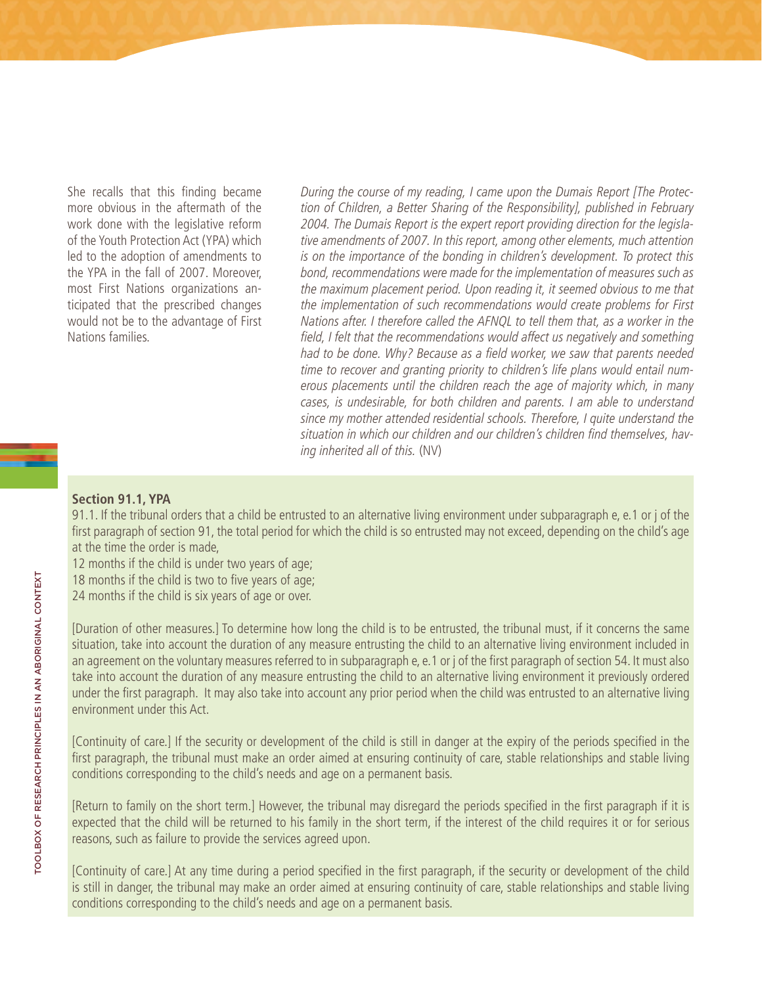She recalls that this finding became more obvious in the aftermath of the work done with the legislative reform of the Youth Protection Act (YPA) which led to the adoption of amendments to the YPA in the fall of 2007. Moreover, most First Nations organizations anticipated that the prescribed changes would not be to the advantage of First Nations families.

During the course of my reading, I came upon the Dumais Report [The Protection of Children, a Better Sharing of the Responsibility], published in February 2004. The Dumais Report is the expert report providing direction for the legislative amendments of 2007. In this report, among other elements, much attention is on the importance of the bonding in children's development. To protect this bond, recommendations were made for the implementation of measures such as the maximum placement period. Upon reading it, it seemed obvious to me that the implementation of such recommendations would create problems for First Nations after. I therefore called the AFNQL to tell them that, as a worker in the field, I felt that the recommendations would affect us negatively and something had to be done. Why? Because as a field worker, we saw that parents needed time to recover and granting priority to children's life plans would entail numerous placements until the children reach the age of majority which, in many cases, is undesirable, for both children and parents. I am able to understand since my mother attended residential schools. Therefore, I quite understand the situation in which our children and our children's children find themselves, having inherited all of this. (NV)

### **Section 91.1, YPA**

91.1. If the tribunal orders that a child be entrusted to an alternative living environment under subparagraph e, e.1 or j of the first paragraph of section 91, the total period for which the child is so entrusted may not exceed, depending on the child's age at the time the order is made,

12 months if the child is under two years of age;

18 months if the child is two to five years of age;

24 months if the child is six years of age or over.

[Duration of other measures.] To determine how long the child is to be entrusted, the tribunal must, if it concerns the same situation, take into account the duration of any measure entrusting the child to an alternative living environment included in an agreement on the voluntary measures referred to in subparagraph e, e.1 or j of the first paragraph of section 54. It must also take into account the duration of any measure entrusting the child to an alternative living environment it previously ordered under the first paragraph. It may also take into account any prior period when the child was entrusted to an alternative living environment under this Act.

[Continuity of care.] If the security or development of the child is still in danger at the expiry of the periods specified in the first paragraph, the tribunal must make an order aimed at ensuring continuity of care, stable relationships and stable living conditions corresponding to the child's needs and age on a permanent basis.

[Return to family on the short term.] However, the tribunal may disregard the periods specified in the first paragraph if it is expected that the child will be returned to his family in the short term, if the interest of the child requires it or for serious reasons, such as failure to provide the services agreed upon.

[Continuity of care.] At any time during a period specified in the first paragraph, if the security or development of the child is still in danger, the tribunal may make an order aimed at ensuring continuity of care, stable relationships and stable living conditions corresponding to the child's needs and age on a permanent basis.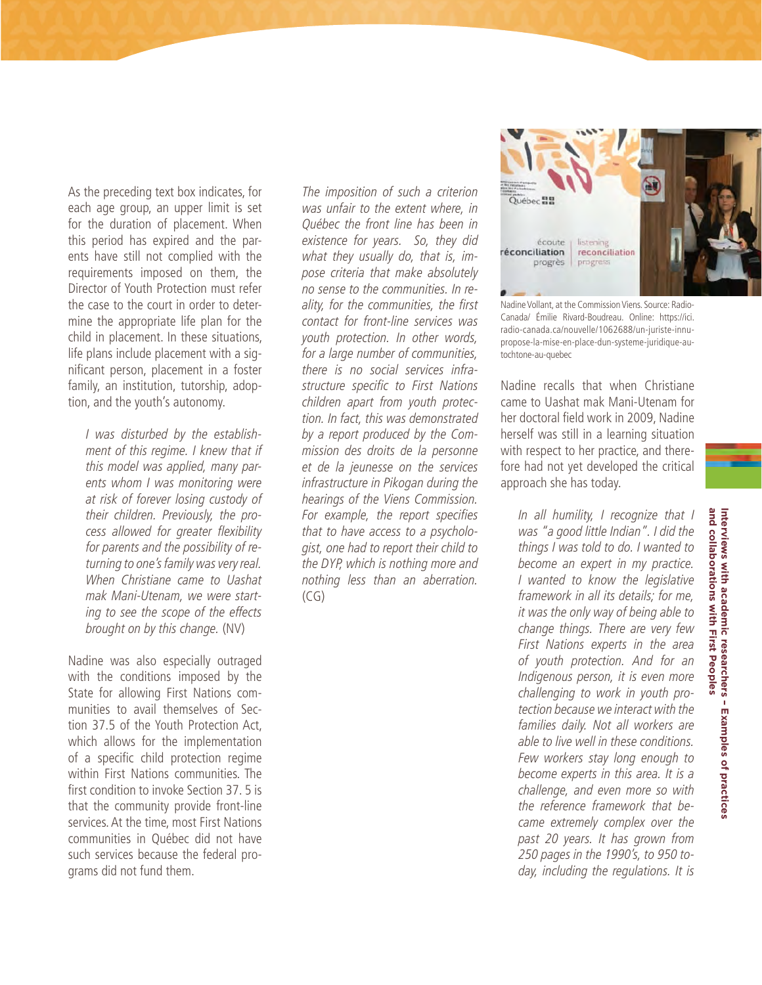As the preceding text box indicates, for each age group, an upper limit is set for the duration of placement. When this period has expired and the parents have still not complied with the requirements imposed on them, the Director of Youth Protection must refer the case to the court in order to determine the appropriate life plan for the child in placement. In these situations, life plans include placement with a significant person, placement in a foster family, an institution, tutorship, adoption, and the youth's autonomy.

I was disturbed by the establishment of this regime. I knew that if this model was applied, many parents whom I was monitoring were at risk of forever losing custody of their children. Previously, the process allowed for greater flexibility for parents and the possibility of returning to one's family was very real. When Christiane came to Uashat mak Mani-Utenam, we were starting to see the scope of the effects brought on by this change. (NV)

Nadine was also especially outraged with the conditions imposed by the State for allowing First Nations communities to avail themselves of Section 37.5 of the Youth Protection Act, which allows for the implementation of a specific child protection regime within First Nations communities. The first condition to invoke Section 37. 5 is that the community provide front-line services. At the time, most First Nations communities in Québec did not have such services because the federal programs did not fund them.

The imposition of such a criterion was unfair to the extent where, in Québec the front line has been in existence for years. So, they did what they usually do, that is, impose criteria that make absolutely no sense to the communities. In reality, for the communities, the first contact for front-line services was youth protection. In other words, for a large number of communities, there is no social services infrastructure specific to First Nations children apart from youth protection. In fact, this was demonstrated by a report produced by the Commission des droits de la personne et de la jeunesse on the services infrastructure in Pikogan during the hearings of the Viens Commission. For example, the report specifies that to have access to a psychologist, one had to report their child to the DYP, which is nothing more and nothing less than an aberration. (CG)



Nadine Vollant, at the Commission Viens. Source: Radio-Canada/ Émilie Rivard-Boudreau. Online: https://ici. radio-canada.ca/nouvelle/1062688/un-juriste-innupropose-la-mise-en-place-dun-systeme-juridique-autochtone-au-quebec

Nadine recalls that when Christiane came to Uashat mak Mani-Utenam for her doctoral field work in 2009, Nadine herself was still in a learning situation with respect to her practice, and therefore had not yet developed the critical approach she has today.

In all humility, I recognize that I was "a good little Indian". I did the things I was told to do. I wanted to become an expert in my practice. I wanted to know the legislative framework in all its details; for me, it was the only way of being able to change things. There are very few First Nations experts in the area of youth protection. And for an Indigenous person, it is even more challenging to work in youth protection because we interact with the families daily. Not all workers are able to live well in these conditions. Few workers stay long enough to become experts in this area. It is a challenge, and even more so with the reference framework that became extremely complex over the past 20 years. It has grown from 250 pages in the 1990's, to 950 today, including the regulations. It is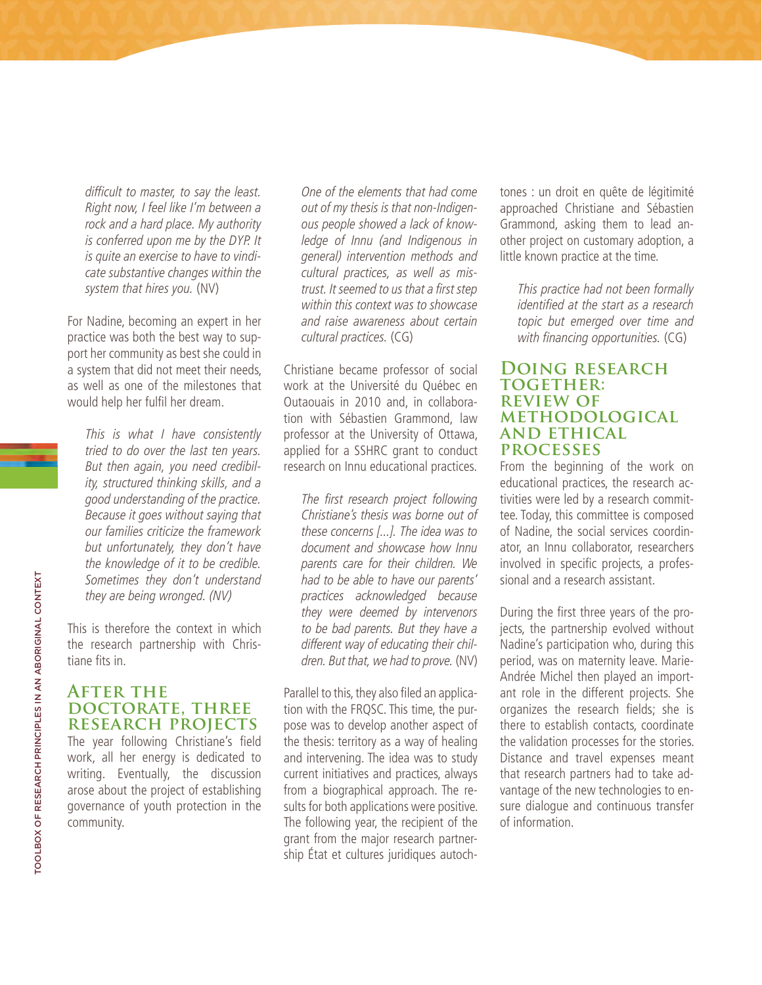difficult to master, to say the least. Right now, I feel like I'm between a rock and a hard place. My authority is conferred upon me by the DYP. It is quite an exercise to have to vindicate substantive changes within the system that hires you. (NV)

For Nadine, becoming an expert in her practice was both the best way to support her community as best she could in a system that did not meet their needs, as well as one of the milestones that would help her fulfil her dream.

This is what I have consistently tried to do over the last ten years. But then again, you need credibility, structured thinking skills, and a good understanding of the practice. Because it goes without saying that our families criticize the framework but unfortunately, they don't have the knowledge of it to be credible. Sometimes they don't understand they are being wronged. (NV)

This is therefore the context in which the research partnership with Christiane fits in.

## **AFTER THE doctorate, three research projects**

The year following Christiane's field work, all her energy is dedicated to writing. Eventually, the discussion arose about the project of establishing governance of youth protection in the community.

One of the elements that had come out of my thesis is that non-Indigenous people showed a lack of knowledge of Innu (and Indigenous in general) intervention methods and cultural practices, as well as mistrust. It seemed to us that a first step within this context was to showcase and raise awareness about certain cultural practices. (CG)

Christiane became professor of social work at the Université du Québec en Outaouais in 2010 and, in collaboration with Sébastien Grammond, law professor at the University of Ottawa, applied for a SSHRC grant to conduct research on Innu educational practices.

The first research project following Christiane's thesis was borne out of these concerns [...]. The idea was to document and showcase how Innu parents care for their children. We had to be able to have our parents' practices acknowledged because they were deemed by intervenors to be bad parents. But they have a different way of educating their children. But that, we had to prove. (NV)

Parallel to this, they also filed an application with the FRQSC. This time, the purpose was to develop another aspect of the thesis: territory as a way of healing and intervening. The idea was to study current initiatives and practices, always from a biographical approach. The results for both applications were positive. The following year, the recipient of the grant from the major research partnership État et cultures juridiques autochtones : un droit en quête de légitimité approached Christiane and Sébastien Grammond, asking them to lead another project on customary adoption, a little known practice at the time.

This practice had not been formally identified at the start as a research topic but emerged over time and with financing opportunities. (CG)

#### **Doing research together: review of methodological and ethical processes**

From the beginning of the work on educational practices, the research activities were led by a research committee. Today, this committee is composed of Nadine, the social services coordinator, an Innu collaborator, researchers involved in specific projects, a professional and a research assistant.

During the first three years of the projects, the partnership evolved without Nadine's participation who, during this period, was on maternity leave. Marie-Andrée Michel then played an important role in the different projects. She organizes the research fields; she is there to establish contacts, coordinate the validation processes for the stories. Distance and travel expenses meant that research partners had to take advantage of the new technologies to ensure dialogue and continuous transfer of information.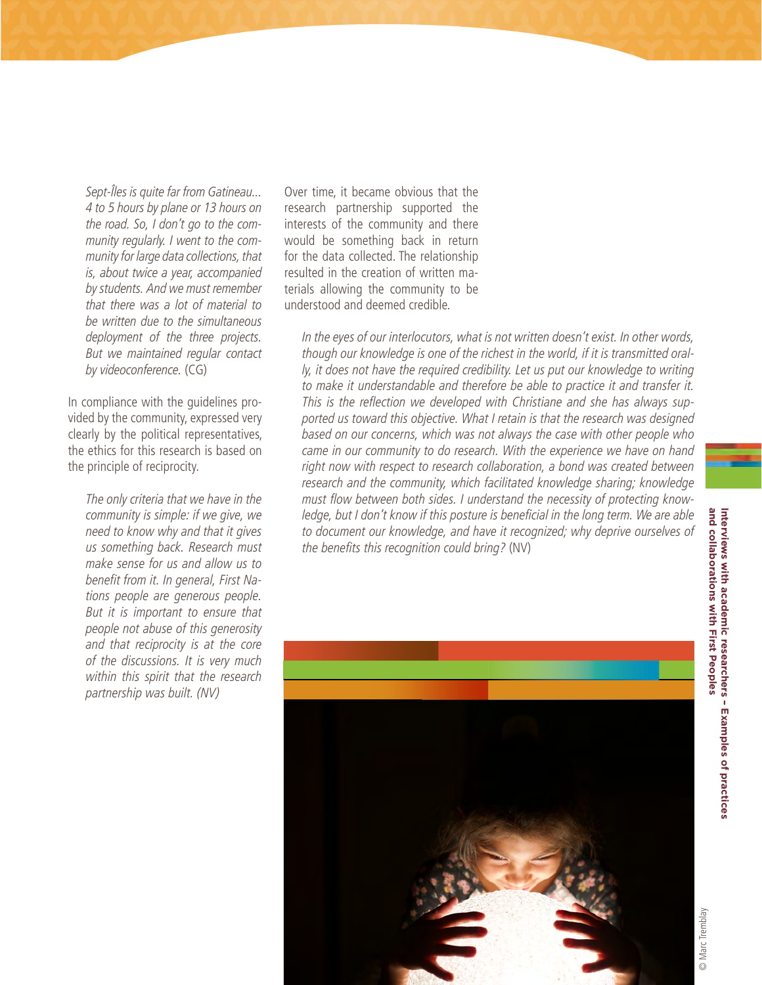Sept-Îles is quite far from Gatineau... 4 to 5 hours by plane or 13 hours on the road. So, I don't go to the community regularly. I went to the community for large data collections, that is, about twice a year, accompanied by students. And we must remember that there was a lot of material to be written due to the simultaneous deployment of the three projects. But we maintained regular contact by videoconference. (CG)

In compliance with the guidelines provided by the community, expressed very clearly by the political representatives, the ethics for this research is based on the principle of reciprocity.

The only criteria that we have in the community is simple: if we give, we need to know why and that it gives us something back. Research must make sense for us and allow us to benefit from it. In general, First Nations people are generous people. But it is important to ensure that people not abuse of this generosity and that reciprocity is at the core of the discussions. It is very much within this spirit that the research partnership was built. (NV)

Over time, it became obvious that the research partnership supported the interests of the community and there would be something back in return for the data collected. The relationship resulted in the creation of written materials allowing the community to be understood and deemed credible.

In the eyes of our interlocutors, what is not written doesn't exist. In other words, though our knowledge is one of the richest in the world, if it is transmitted orally, it does not have the required credibility. Let us put our knowledge to writing to make it understandable and therefore be able to practice it and transfer it. This is the reflection we developed with Christiane and she has always supported us toward this objective. What I retain is that the research was designed based on our concerns, which was not always the case with other people who came in our community to do research. With the experience we have on hand right now with respect to research collaboration, a bond was created between research and the community, which facilitated knowledge sharing; knowledge must flow between both sides. I understand the necessity of protecting knowledge, but I don't know if this posture is beneficial in the long term. We are able to document our knowledge, and have it recognized; why deprive ourselves of the benefits this recognition could bring? (NV)

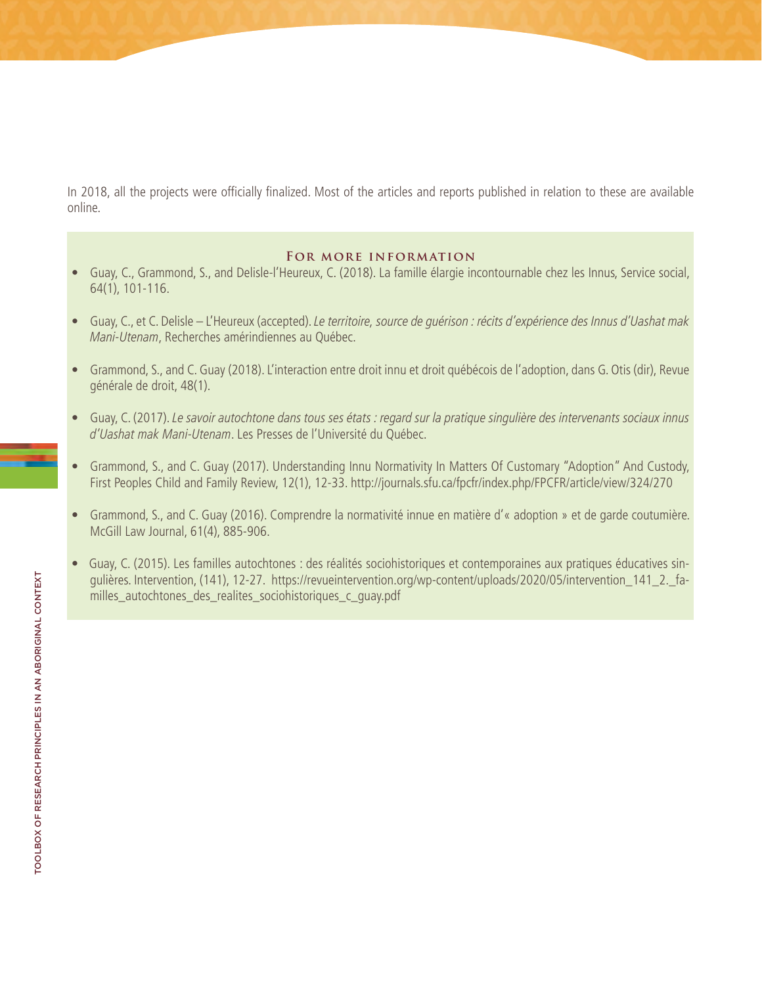In 2018, all the projects were officially finalized. Most of the articles and reports published in relation to these are available online.

#### **For more information**

- Guay, C., Grammond, S., and Delisle-l'Heureux, C. (2018). La famille élargie incontournable chez les Innus, Service social, 64(1), 101-116.
- Guay, C., et C. Delisle L'Heureux (accepted). Le territoire, source de guérison : récits d'expérience des Innus d'Uashat mak Mani-Utenam, Recherches amérindiennes au Québec.
- Grammond, S., and C. Guay (2018). L'interaction entre droit innu et droit québécois de l'adoption, dans G. Otis (dir), Revue générale de droit, 48(1).
- Guay, C. (2017). Le savoir autochtone dans tous ses états : regard sur la pratique singulière des intervenants sociaux innus d'Uashat mak Mani-Utenam. Les Presses de l'Université du Québec.
- Grammond, S., and C. Guay (2017). Understanding Innu Normativity In Matters Of Customary "Adoption" And Custody, First Peoples Child and Family Review, 12(1), 12-33. <http://journals.sfu.ca/fpcfr/index.php/FPCFR/article/view/324/270>
- Grammond, S., and C. Guay (2016). Comprendre la normativité innue en matière d'« adoption » et de garde coutumière. McGill Law Journal, 61(4), 885-906.
- Guay, C. (2015). Les familles autochtones : des réalités sociohistoriques et contemporaines aux pratiques éducatives singulières. Intervention, (141), 12-27. [https://revueintervention.org/wp-content/uploads/2020/05/intervention\\_141\\_2.\\_fa](https://revueintervention.org/wp-content/uploads/2020/05/intervention_141_2._familles_autochtones_des_realites_sociohistoriques_c_guay.pdf)milles autochtones des realites sociohistoriques c quay.pdf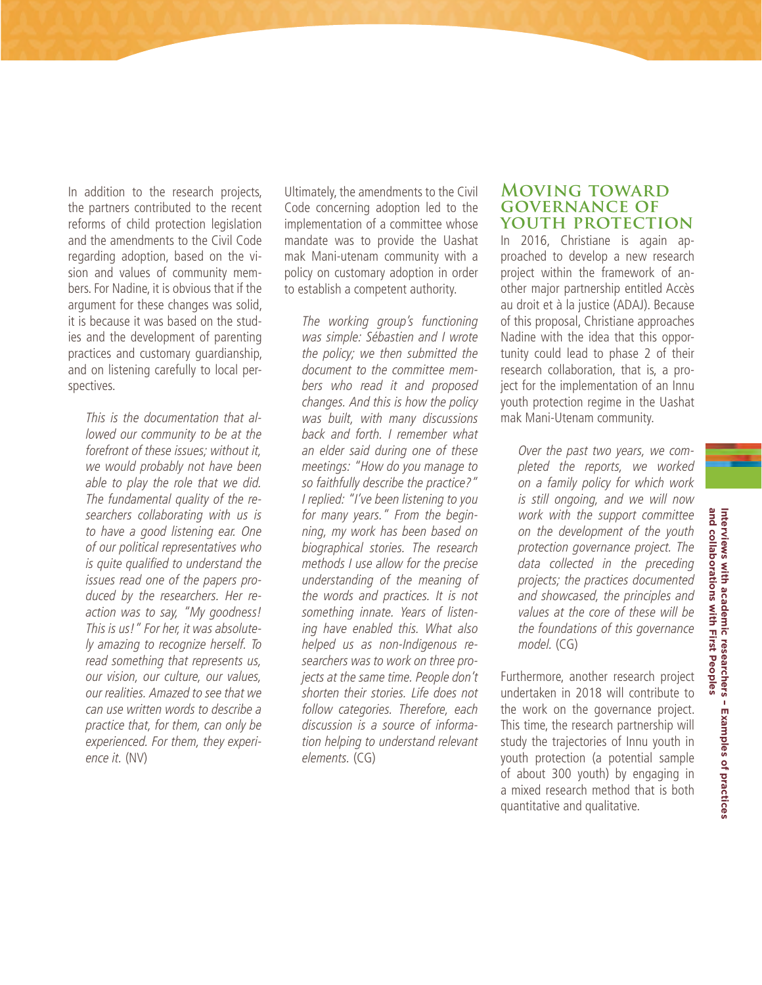In addition to the research projects, the partners contributed to the recent reforms of child protection legislation and the amendments to the Civil Code regarding adoption, based on the vision and values of community members. For Nadine, it is obvious that if the argument for these changes was solid, it is because it was based on the studies and the development of parenting practices and customary guardianship, and on listening carefully to local perspectives.

This is the documentation that allowed our community to be at the forefront of these issues; without it, we would probably not have been able to play the role that we did. The fundamental quality of the researchers collaborating with us is to have a good listening ear. One of our political representatives who is quite qualified to understand the issues read one of the papers produced by the researchers. Her reaction was to say, "My goodness! This is us!" For her, it was absolutely amazing to recognize herself. To read something that represents us, our vision, our culture, our values, our realities. Amazed to see that we can use written words to describe a practice that, for them, can only be experienced. For them, they experience it. (NV)

Ultimately, the amendments to the Civil Code concerning adoption led to the implementation of a committee whose mandate was to provide the Uashat mak Mani-utenam community with a policy on customary adoption in order to establish a competent authority.

The working group's functioning was simple: Sébastien and I wrote the policy; we then submitted the document to the committee members who read it and proposed changes. And this is how the policy was built, with many discussions back and forth. I remember what an elder said during one of these meetings: "How do you manage to so faithfully describe the practice?" I replied: "I've been listening to you for many years." From the beginning, my work has been based on biographical stories. The research methods I use allow for the precise understanding of the meaning of the words and practices. It is not something innate. Years of listening have enabled this. What also helped us as non-Indigenous researchers was to work on three projects at the same time. People don't shorten their stories. Life does not follow categories. Therefore, each discussion is a source of information helping to understand relevant elements. (CG)

#### **Moving toward governance of youth protection**

In 2016, Christiane is again approached to develop a new research project within the framework of another major partnership entitled Accès au droit et à la justice (ADAJ). Because of this proposal, Christiane approaches Nadine with the idea that this opportunity could lead to phase 2 of their research collaboration, that is, a project for the implementation of an Innu youth protection regime in the Uashat mak Mani-Utenam community.

Over the past two years, we completed the reports, we worked on a family policy for which work is still ongoing, and we will now work with the support committee on the development of the youth protection governance project. The data collected in the preceding projects; the practices documented and showcased, the principles and values at the core of these will be the foundations of this governance model. (CG)

Furthermore, another research project undertaken in 2018 will contribute to the work on the governance project. This time, the research partnership will study the trajectories of Innu youth in youth protection (a potential sample of about 300 youth) by engaging in a mixed research method that is both quantitative and qualitative.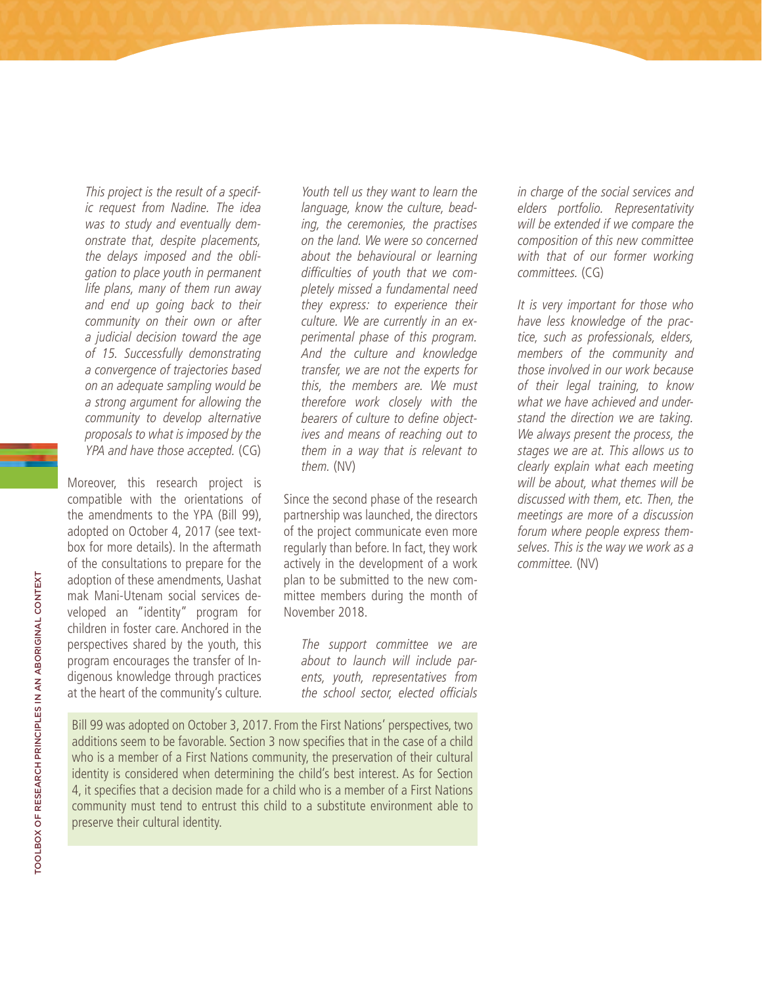This project is the result of a specific request from Nadine. The idea was to study and eventually demonstrate that, despite placements, the delays imposed and the obligation to place youth in permanent life plans, many of them run away and end up going back to their community on their own or after a judicial decision toward the age of 15. Successfully demonstrating a convergence of trajectories based on an adequate sampling would be a strong argument for allowing the community to develop alternative proposals to what is imposed by the YPA and have those accepted. (CG)

Moreover, this research project is compatible with the orientations of the amendments to the YPA (Bill 99), adopted on October 4, 2017 (see textbox for more details). In the aftermath of the consultations to prepare for the adoption of these amendments, Uashat mak Mani-Utenam social services developed an "identity" program for children in foster care. Anchored in the perspectives shared by the youth, this program encourages the transfer of Indigenous knowledge through practices at the heart of the community's culture.

Youth tell us they want to learn the language, know the culture, beading, the ceremonies, the practises on the land. We were so concerned about the behavioural or learning difficulties of youth that we completely missed a fundamental need they express: to experience their culture. We are currently in an experimental phase of this program. And the culture and knowledge transfer, we are not the experts for this, the members are. We must therefore work closely with the bearers of culture to define objectives and means of reaching out to them in a way that is relevant to them. (NV)

Since the second phase of the research partnership was launched, the directors of the project communicate even more regularly than before. In fact, they work actively in the development of a work plan to be submitted to the new committee members during the month of November 2018.

The support committee we are about to launch will include parents, youth, representatives from the school sector, elected officials

Bill 99 was adopted on October 3, 2017. From the First Nations' perspectives, two additions seem to be favorable. Section 3 now specifies that in the case of a child who is a member of a First Nations community, the preservation of their cultural identity is considered when determining the child's best interest. As for Section 4, it specifies that a decision made for a child who is a member of a First Nations community must tend to entrust this child to a substitute environment able to preserve their cultural identity.

in charge of the social services and elders portfolio. Representativity will be extended if we compare the composition of this new committee with that of our former working committees. (CG)

It is very important for those who have less knowledge of the practice, such as professionals, elders, members of the community and those involved in our work because of their legal training, to know what we have achieved and understand the direction we are taking. We always present the process, the stages we are at. This allows us to clearly explain what each meeting will be about, what themes will be discussed with them, etc. Then, the meetings are more of a discussion forum where people express themselves. This is the way we work as a committee. (NV)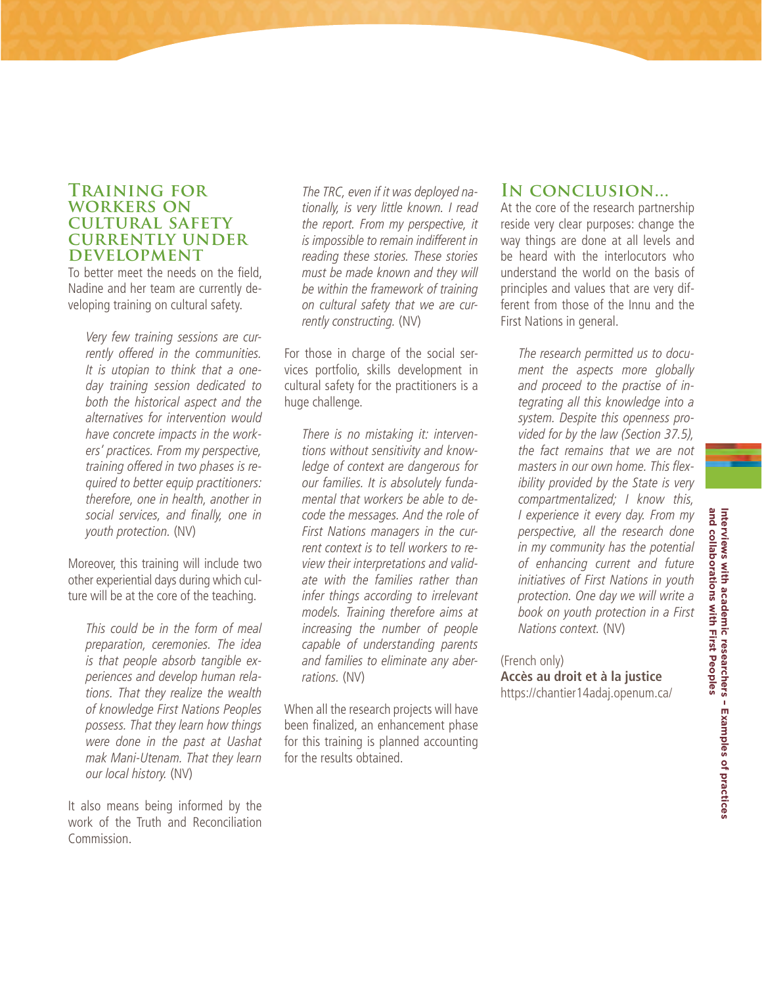### **Training for workers on cultural safety currently under development**

To better meet the needs on the field, Nadine and her team are currently developing training on cultural safety.

Very few training sessions are currently offered in the communities. It is utopian to think that a oneday training session dedicated to both the historical aspect and the alternatives for intervention would have concrete impacts in the workers' practices. From my perspective, training offered in two phases is required to better equip practitioners: therefore, one in health, another in social services, and finally, one in youth protection. (NV)

Moreover, this training will include two other experiential days during which culture will be at the core of the teaching.

This could be in the form of meal preparation, ceremonies. The idea is that people absorb tangible experiences and develop human relations. That they realize the wealth of knowledge First Nations Peoples possess. That they learn how things were done in the past at Uashat mak Mani-Utenam. That they learn our local history. (NV)

It also means being informed by the work of the Truth and Reconciliation Commission.

The TRC, even if it was deployed nationally, is very little known. I read the report. From my perspective, it is impossible to remain indifferent in reading these stories. These stories must be made known and they will be within the framework of training on cultural safety that we are currently constructing. (NV)

For those in charge of the social services portfolio, skills development in cultural safety for the practitioners is a huge challenge.

There is no mistaking it: interventions without sensitivity and knowledge of context are dangerous for our families. It is absolutely fundamental that workers be able to decode the messages. And the role of First Nations managers in the current context is to tell workers to review their interpretations and validate with the families rather than infer things according to irrelevant models. Training therefore aims at increasing the number of people capable of understanding parents and families to eliminate any aberrations. (NV)

When all the research projects will have been finalized, an enhancement phase for this training is planned accounting for the results obtained.

## **In conclusion...**

At the core of the research partnership reside very clear purposes: change the way things are done at all levels and be heard with the interlocutors who understand the world on the basis of principles and values that are very different from those of the Innu and the First Nations in general.

The research permitted us to document the aspects more globally and proceed to the practise of integrating all this knowledge into a system. Despite this openness provided for by the law (Section 37.5), the fact remains that we are not masters in our own home. This flexibility provided by the State is very compartmentalized; I know this, I experience it every day. From my perspective, all the research done in my community has the potential of enhancing current and future initiatives of First Nations in youth protection. One day we will write a book on youth protection in a First Nations context. (NV)

(French only) **Accès au droit et à la justice** <https://chantier14adaj.openum.ca/>